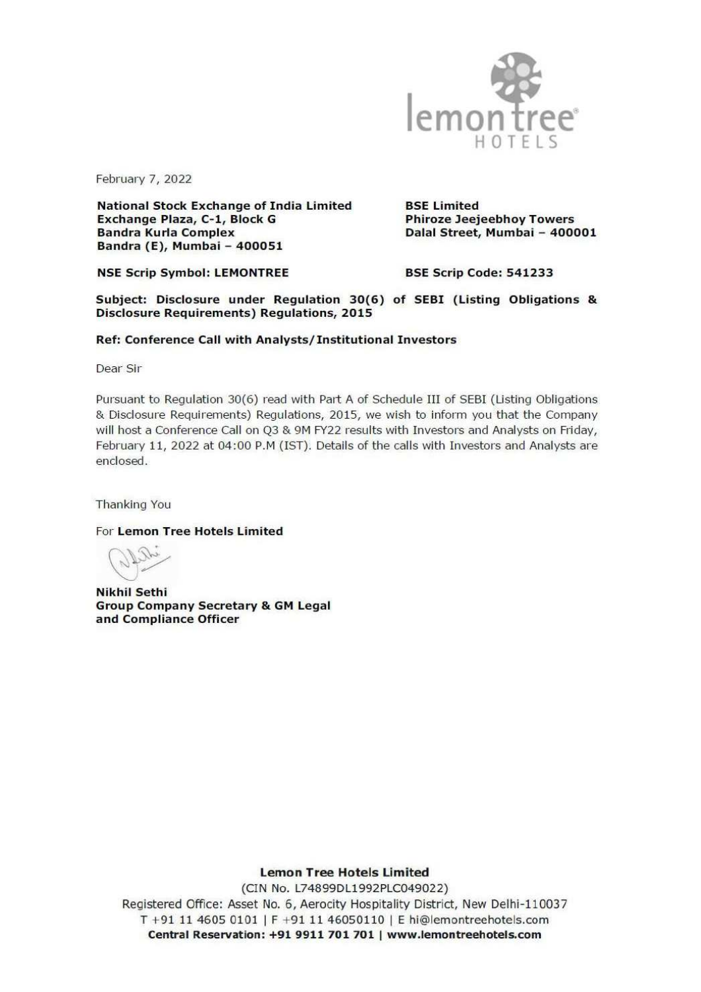

February 7, 2022

National Stock Exchange of India Limited BSE Limited<br>Exchange Plaza, C-1, Block G Phiroze Jeejeebhoy Towers<br>Bandra Kurla Complex Dalal Street, Mumbai - 400001 Bandra (E), Mumbai - 400051

NSE Scrip Symbol: LEMONTREE BSE Scrip Code: 541233

Subject: Disclosure under Regulation 30(6) of SEBI (Listing Obligations & Disclosure Requirements) Regulations, 2015

## Ref: Conference Call with Analysts/ Institutional Investors

Dear Sir

Pursuant to Regulation 30(6) read with Part A of Schedule III of SEBI (Listing Obligations & Disclosure Requirements) Regulations, 2015, we wish to inform you that the Company will host a Conference Call on Q3 & 9M FY22 re

Thanking You

For Lemon Tree Hotels Limited

CXsee ee

Nikhil Sethi<br>Group Company Secretary & GM Legal<br>and Compliance Officer

Lemon Tree Hotels Limited

, New Delh<br>Intreehotel<br><mark>treehotels</mark>. (CIN No. L74899DL1992PLC049022) Registered Office: Asset No. 6, Aerocity Hospitality District, New Delhi-110037 T +91 11 4605 0101 | F +91 11 46050110 | E hi@lemontreehotels.com Central Reservation: +91 9911 701 701 | www.lemontreehotels.com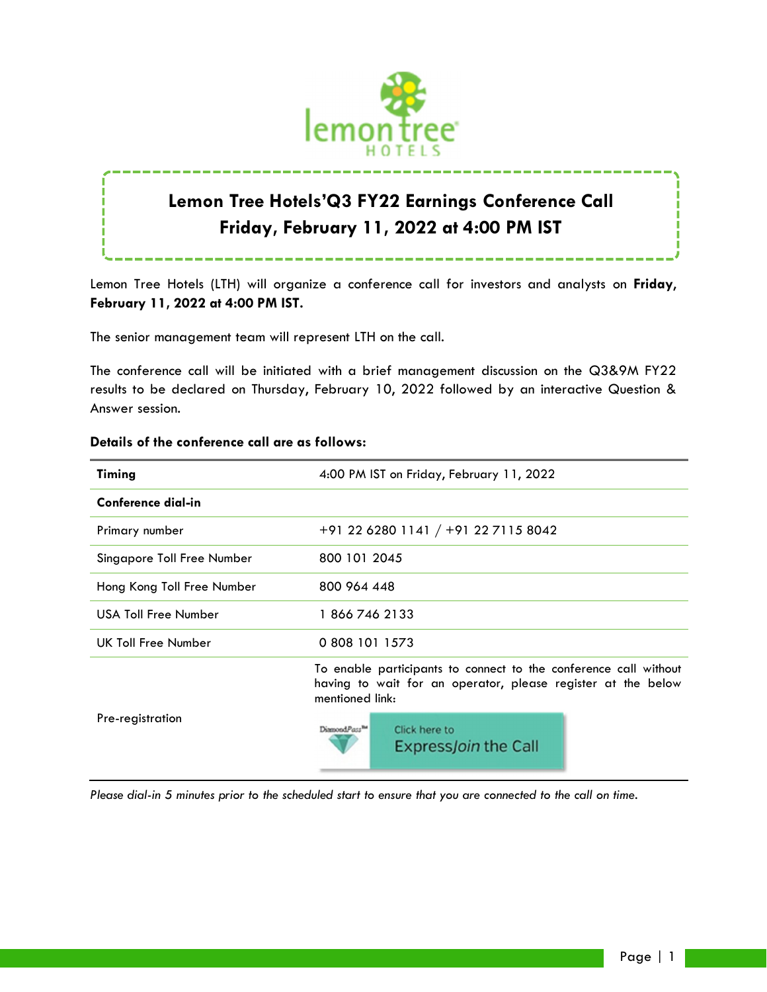

# **Lemon Tree Hotels'Q3 FY22 Earnings Conference Call Friday, February 11, 2022 at 4:00 PM IST**

Lemon Tree Hotels (LTH) will organize a conference call for investors and analysts on **Friday**, **February 11, 2022 at 4:00 PM IST.**

The senior management team will represent LTH on the call.

The conference call will be initiated with a brief management discussion on the Q3&9M FY22 results to be declared on Thursday, February 10, 2022 followed by an interactive Question & Answer session.

| Timing                     | 4:00 PM IST on Friday, February 11, 2022                                                                                                            |
|----------------------------|-----------------------------------------------------------------------------------------------------------------------------------------------------|
| Conference dial-in         |                                                                                                                                                     |
| Primary number             | +91 22 6280 1141 / +91 22 7115 8042                                                                                                                 |
| Singapore Toll Free Number | 800 101 2045                                                                                                                                        |
| Hong Kong Toll Free Number | 800 964 448                                                                                                                                         |
| USA Toll Free Number       | 18667462133                                                                                                                                         |
| UK Toll Free Number        | 0 808 101 1573                                                                                                                                      |
| Pre-registration           | To enable participants to connect to the conference call without<br>having to wait for an operator, please register at the below<br>mentioned link: |
|                            | DiamondPass <sup>the</sup><br>Click here to<br><b>ExpressJoin the Call</b>                                                                          |

## **Details of the conference call are as follows:**

*Please dial-in 5 minutes prior to the scheduled start to ensure that you are connected to the call on time.*